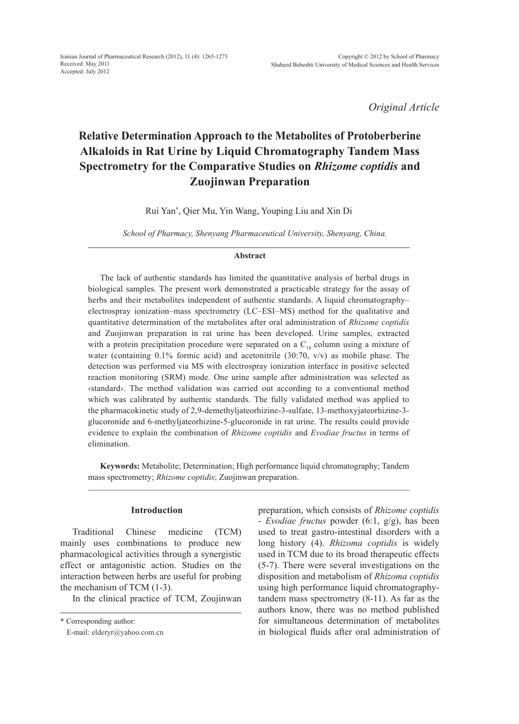*Original Article*

# **Relative Determination Approach to the Metabolites of Protoberberine Alkaloids in Rat Urine by Liquid Chromatography Tandem Mass Spectrometry for the Comparative Studies on** *Rhizome coptidis* **and Zuojinwan Preparation**

Rui Yan\* , Qier Mu, Yin Wang, Youping Liu and Xin Di

*School of Pharmacy, Shenyang Pharmaceutical University, Shenyang, China.*

#### **Abstract**

The lack of authentic standards has limited the quantitative analysis of herbal drugs in biological samples. The present work demonstrated a practicable strategy for the assay of herbs and their metabolites independent of authentic standards. A liquid chromatographyelectrospray ionization–mass spectrometry (LC–ESI–MS) method for the qualitative and quantitative determination of the metabolites after oral administration of *Rhizome coptidis* and Zuojinwan preparation in rat urine has been developed. Urine samples, extracted with a protein precipitation procedure were separated on a  $C_{18}$  column using a mixture of water (containing 0.1% formic acid) and acetonitrile (30:70, v/v) as mobile phase. The detection was performed via MS with electrospray ionization interface in positive selected reaction monitoring (SRM) mode. One urine sample after administration was selected as ‹standard›. The method validation was carried out according to a conventional method which was calibrated by authentic standards. The fully validated method was applied to the pharmacokinetic study of 2,9-demethyljateorhizine-3-sulfate, 13-methoxyjateorhizine-3 glucoronide and 6-methyljateorhizine-5-glucoronide in rat urine. The results could provide evidence to explain the combination of *Rhizome coptidis* and *Evodiae fructus* in terms of elimination.

**Keywords:** Metabolite; Determination; High performance liquid chromatography; Tandem mass spectrometry; *Rhizome coptidis*; Zuojinwan preparation.

## **Introduction**

Traditional Chinese medicine (TCM) mainly uses combinations to produce new pharmacological activities through a synergistic effect or antagonistic action. Studies on the interaction between herbs are useful for probing the mechanism of TCM (1-3).

In the clinical practice of TCM, Zoujinwan

preparation, which consists of *Rhizome coptidis* - *Evodiae fructus* powder (6:1, g/g), has been used to treat gastro-intestinal disorders with a long history (4). *Rhizoma coptidis* is widely used in TCM due to its broad therapeutic effects (5-7). There were several investigations on the disposition and metabolism of *Rhizoma coptidis* using high performance liquid chromatographytandem mass spectrometry (8-11). As far as the authors know, there was no method published for simultaneous determination of metabolites in biological fluids after oral administration of

<sup>\*</sup> Corresponding author:

E-mail: elderyr@yahoo.com.cn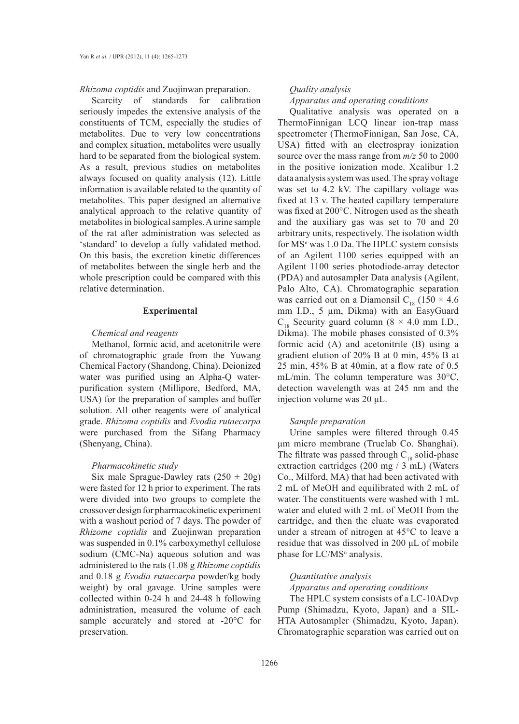*Rhizoma coptidis* and Zuojinwan preparation.

Scarcity of standards for calibration seriously impedes the extensive analysis of the constituents of TCM, especially the studies of metabolites. Due to very low concentrations and complex situation, metabolites were usually hard to be separated from the biological system. As a result, previous studies on metabolites always focused on quality analysis (12). Little information is available related to the quantity of metabolites. This paper designed an alternative analytical approach to the relative quantity of metabolites in biological samples. A urine sample of the rat after administration was selected as 'standard' to develop a fully validated method. On this basis, the excretion kinetic differences of metabolites between the single herb and the whole prescription could be compared with this relative determination.

## **Experimental**

## *Chemical and reagents*

Methanol, formic acid, and acetonitrile were of chromatographic grade from the Yuwang Chemical Factory (Shandong, China). Deionized water was purified using an Alpha-Q waterpurification system (Millipore, Bedford, MA, USA) for the preparation of samples and buffer solution. All other reagents were of analytical grade. *Rhizoma coptidis* and *Evodia rutaecarpa*  were purchased from the Sifang Pharmacy (Shenyang, China).

## *Pharmacokinetic study*

Six male Sprague-Dawley rats  $(250 \pm 20)$ were fasted for 12 h prior to experiment. The rats were divided into two groups to complete the crossover design for pharmacokinetic experiment with a washout period of 7 days. The powder of *Rhizome coptidis* and Zuojinwan preparation was suspended in 0.1% carboxymethyl cellulose sodium (CMC-Na) aqueous solution and was administered to the rats (1.08 g *Rhizome coptidis* and 0.18 g *Evodia rutaecarpa* powder/kg body weight) by oral gavage. Urine samples were collected within 0-24 h and 24-48 h following administration, measured the volume of each sample accurately and stored at -20°C for preservation.

## *Quality analysis*

#### *Apparatus and operating conditions*

Qualitative analysis was operated on a ThermoFinnigan LCQ linear ion-trap mass spectrometer (ThermoFinnigan, San Jose, CA, USA) fitted with an electrospray ionization source over the mass range from *m/z* 50 to 2000 in the positive ionization mode. Xcalibur 1.2 data analysis system was used. The spray voltage was set to 4.2 kV. The capillary voltage was fixed at 13 v. The heated capillary temperature was fixed at 200°C. Nitrogen used as the sheath and the auxiliary gas was set to 70 and 20 arbitrary units, respectively. The isolation width for  $MS<sup>n</sup>$  was 1.0 Da. The HPLC system consists of an Agilent 1100 series equipped with an Agilent 1100 series photodiode-array detector (PDA) and autosampler Data analysis (Agilent, Palo Alto, CA). Chromatographic separation was carried out on a Diamonsil  $C_{18}$  (150 × 4.6) mm I.D., 5 µm, Dikma) with an EasyGuard  $C_{18}$  Security guard column (8  $\times$  4.0 mm I.D., Dikma). The mobile phases consisted of 0.3% formic acid (A) and acetonitrile (B) using a gradient elution of 20% B at 0 min, 45% B at 25 min, 45% B at 40min, at a flow rate of 0.5 mL/min. The column temperature was 30°C, detection wavelength was at 245 nm and the injection volume was 20 μL.

## *Sample preparation*

Urine samples were filtered through 0.45 μm micro membrane (Truelab Co. Shanghai). The filtrate was passed through  $C_{18}$  solid-phase extraction cartridges (200 mg / 3 mL) (Waters Co., Milford, MA) that had been activated with 2 mL of MeOH and equilibrated with 2 mL of water. The constituents were washed with 1 mL water and eluted with 2 mL of MeOH from the cartridge, and then the eluate was evaporated under a stream of nitrogen at 45°C to leave a residue that was dissolved in 200 μL of mobile phase for LC/MS<sup>n</sup> analysis.

## *Quantitative analysis*

*Apparatus and operating conditions*

The HPLC system consists of a LC-10ADvp Pump (Shimadzu, Kyoto, Japan) and a SIL-HTA Autosampler (Shimadzu, Kyoto, Japan). Chromatographic separation was carried out on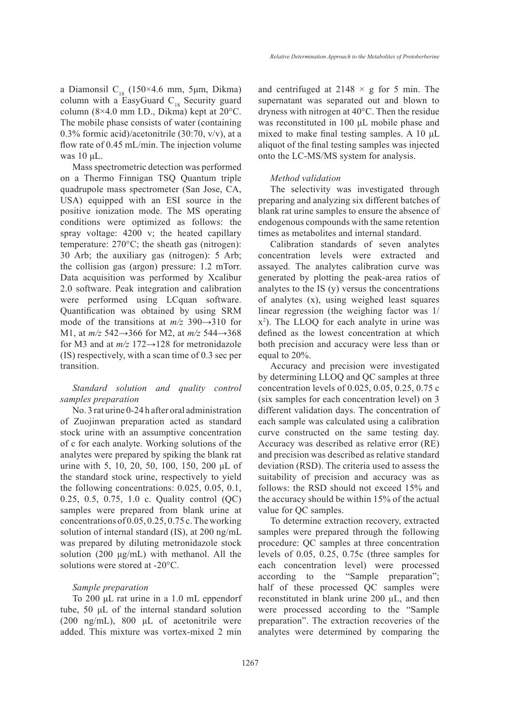a Diamonsil C<sub>18</sub> (150×4.6 mm, 5µm, Dikma) column with a EasyGuard  $C_{18}$  Security guard column  $(8\times4.0 \text{ mm } I.D., Dikma)$  kept at  $20^{\circ}$ C. The mobile phase consists of water (containing 0.3% formic acid)/acetonitrile (30:70, v/v), at a flow rate of 0.45 mL/min. The injection volume was 10 μL.

Mass spectrometric detection was performed on a Thermo Finnigan TSQ Quantum triple quadrupole mass spectrometer (San Jose, CA, USA) equipped with an ESI source in the positive ionization mode. The MS operating conditions were optimized as follows: the spray voltage: 4200 v; the heated capillary temperature: 270°C; the sheath gas (nitrogen): 30 Arb; the auxiliary gas (nitrogen): 5 Arb; the collision gas (argon) pressure: 1.2 mTorr. Data acquisition was performed by Xcalibur 2.0 software. Peak integration and calibration were performed using LCquan software. Quantification was obtained by using SRM mode of the transitions at *m/z* 390→310 for M1, at *m/z* 542→366 for M2, at *m/z* 544→368 for M3 and at *m/z* 172→128 for metronidazole (IS) respectively, with a scan time of 0.3 sec per transition.

## *Standard solution and quality control samples preparation*

No. 3 rat urine 0-24 h after oral administration of Zuojinwan preparation acted as standard stock urine with an assumptive concentration of c for each analyte. Working solutions of the analytes were prepared by spiking the blank rat urine with 5, 10, 20, 50, 100, 150, 200 μL of the standard stock urine, respectively to yield the following concentrations: 0.025, 0.05, 0.1, 0.25, 0.5, 0.75, 1.0 c. Quality control (QC) samples were prepared from blank urine at concentrations of 0.05, 0.25, 0.75 c. The working solution of internal standard (IS), at 200 ng/mL was prepared by diluting metronidazole stock solution (200 μg/mL) with methanol. All the solutions were stored at -20°C.

## *Sample preparation*

To 200 μL rat urine in a 1.0 mL eppendorf tube, 50 μL of the internal standard solution (200 ng/mL),  $800 \mu L$  of acetonitrile were added. This mixture was vortex-mixed 2 min and centrifuged at  $2148 \times g$  for 5 min. The supernatant was separated out and blown to dryness with nitrogen at 40°C. Then the residue was reconstituted in 100 μL mobile phase and mixed to make final testing samples. A 10 μL aliquot of the final testing samples was injected onto the LC-MS/MS system for analysis.

## *Method validation*

The selectivity was investigated through preparing and analyzing six different batches of blank rat urine samples to ensure the absence of endogenous compounds with the same retention times as metabolites and internal standard.

Calibration standards of seven analytes concentration levels were extracted and assayed. The analytes calibration curve was generated by plotting the peak-area ratios of analytes to the IS (y) versus the concentrations of analytes (x), using weighed least squares linear regression (the weighing factor was 1/ x2 ). The LLOQ for each analyte in urine was defined as the lowest concentration at which both precision and accuracy were less than or equal to 20%.

Accuracy and precision were investigated by determining LLOQ and QC samples at three concentration levels of 0.025, 0.05, 0.25, 0.75 c (six samples for each concentration level) on 3 different validation days. The concentration of each sample was calculated using a calibration curve constructed on the same testing day. Accuracy was described as relative error (RE) and precision was described as relative standard deviation (RSD). The criteria used to assess the suitability of precision and accuracy was as follows: the RSD should not exceed 15% and the accuracy should be within 15% of the actual value for QC samples.

To determine extraction recovery, extracted samples were prepared through the following procedure: QC samples at three concentration levels of 0.05, 0.25, 0.75c (three samples for each concentration level) were processed according to the "Sample preparation"; half of these processed QC samples were reconstituted in blank urine 200 μL, and then were processed according to the "Sample preparation". The extraction recoveries of the analytes were determined by comparing the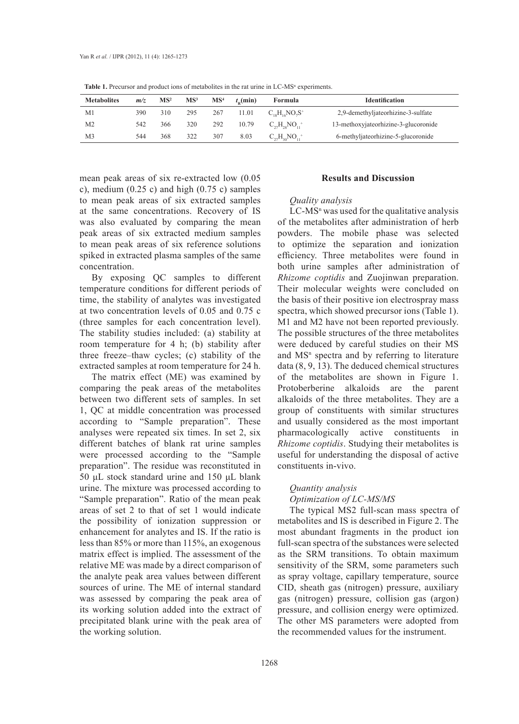| <b>Metabolites</b> | m/z | MS <sup>2</sup> | MS <sup>3</sup> | MS <sup>4</sup> | $t_{\rm o}$ (min) | Formula                 | <b>Identification</b>                |
|--------------------|-----|-----------------|-----------------|-----------------|-------------------|-------------------------|--------------------------------------|
| M1                 | 390 | 310             | 295             | 267             | 11.01             | $C_{10}H_{16}NO_7S^+$   | 2,9-demethyliateorhizine-3-sulfate   |
| M2                 | 542 | 366             | 320             | 292             | 10.79             | $C_{22}H_{22}NO_{11}^+$ | 13-methoxyjateorhizine-3-glucoronide |
| M3                 | 544 | 368             | 322             | 307             | 8.03              | $C_{22}H_{30}NO_{11}^+$ | 6-methyliateorhizine-5-glucoronide   |

**Table 1.** Precursor and product ions of metabolites in the rat urine in  $LC\text{-}MS<sup>n</sup>$  experiments.

mean peak areas of six re-extracted low (0.05 c), medium  $(0.25 \text{ c})$  and high  $(0.75 \text{ c})$  samples to mean peak areas of six extracted samples at the same concentrations. Recovery of IS was also evaluated by comparing the mean peak areas of six extracted medium samples to mean peak areas of six reference solutions spiked in extracted plasma samples of the same concentration.

By exposing QC samples to different temperature conditions for different periods of time, the stability of analytes was investigated at two concentration levels of 0.05 and 0.75 c (three samples for each concentration level). The stability studies included: (a) stability at room temperature for 4 h; (b) stability after three freeze–thaw cycles; (c) stability of the extracted samples at room temperature for 24 h.

The matrix effect (ME) was examined by comparing the peak areas of the metabolites between two different sets of samples. In set 1, QC at middle concentration was processed according to "Sample preparation". These analyses were repeated six times. In set 2, six different batches of blank rat urine samples were processed according to the "Sample preparation". The residue was reconstituted in 50 μL stock standard urine and 150 μL blank urine. The mixture was processed according to "Sample preparation". Ratio of the mean peak areas of set 2 to that of set 1 would indicate the possibility of ionization suppression or enhancement for analytes and IS. If the ratio is less than 85% or more than 115%, an exogenous matrix effect is implied. The assessment of the relative ME was made by a direct comparison of the analyte peak area values between different sources of urine. The ME of internal standard was assessed by comparing the peak area of its working solution added into the extract of precipitated blank urine with the peak area of the working solution.

## **Results and Discussion**

## *Quality analysis*

 $LC$ -MS<sup>n</sup> was used for the qualitative analysis of the metabolites after administration of herb powders. The mobile phase was selected to optimize the separation and ionization efficiency. Three metabolites were found in both urine samples after administration of *Rhizome coptidis* and Zuojinwan preparation. Their molecular weights were concluded on the basis of their positive ion electrospray mass spectra, which showed precursor ions (Table 1). M1 and M2 have not been reported previously. The possible structures of the three metabolites were deduced by careful studies on their MS and MS<sup>n</sup> spectra and by referring to literature data (8, 9, 13). The deduced chemical structures of the metabolites are shown in Figure 1. Protoberberine alkaloids are the parent alkaloids of the three metabolites. They are a group of constituents with similar structures and usually considered as the most important pharmacologically active constituents in *Rhizome coptidis*. Studying their metabolites is useful for understanding the disposal of active constituents in-vivo.

# *Quantity analysis*

## *Optimization of LC-MS/MS*

The typical MS2 full-scan mass spectra of metabolites and IS is described in Figure 2. The most abundant fragments in the product ion full-scan spectra of the substances were selected as the SRM transitions. To obtain maximum sensitivity of the SRM, some parameters such as spray voltage, capillary temperature, source CID, sheath gas (nitrogen) pressure, auxiliary gas (nitrogen) pressure, collision gas (argon) pressure, and collision energy were optimized. The other MS parameters were adopted from the recommended values for the instrument.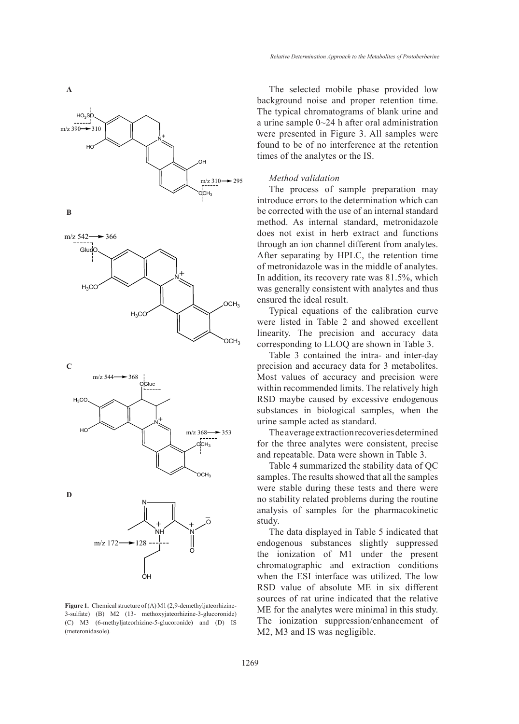



**C**





**Figure 1.** Chemical structure of (A) M1 (2,9-demethyljateorhizine-3-sulfate) (B) M2 (13- methoxyjateorhizine-3-glucoronide) (C) M3 (6-methyljateorhizine-5-glucoronide) and (D) IS (meteronidasole).

The selected mobile phase provided low background noise and proper retention time. The typical chromatograms of blank urine and a urine sample 0~24 h after oral administration were presented in Figure 3. All samples were found to be of no interference at the retention times of the analytes or the IS.

#### *Method validation*

The process of sample preparation may introduce errors to the determination which can be corrected with the use of an internal standard method. As internal standard, metronidazole does not exist in herb extract and functions through an ion channel different from analytes. After separating by HPLC, the retention time of metronidazole was in the middle of analytes. In addition, its recovery rate was 81.5%, which was generally consistent with analytes and thus ensured the ideal result.

Typical equations of the calibration curve were listed in Table 2 and showed excellent linearity. The precision and accuracy data corresponding to LLOQ are shown in Table 3.

Table 3 contained the intra- and inter-day precision and accuracy data for 3 metabolites. Most values of accuracy and precision were within recommended limits. The relatively high RSD maybe caused by excessive endogenous substances in biological samples, when the urine sample acted as standard.

The average extraction recoveries determined for the three analytes were consistent, precise and repeatable. Data were shown in Table 3.

Table 4 summarized the stability data of QC samples. The results showed that all the samples were stable during these tests and there were no stability related problems during the routine analysis of samples for the pharmacokinetic study.

The data displayed in Table 5 indicated that endogenous substances slightly suppressed the ionization of M1 under the present chromatographic and extraction conditions when the ESI interface was utilized. The low RSD value of absolute ME in six different sources of rat urine indicated that the relative ME for the analytes were minimal in this study. The ionization suppression/enhancement of M2, M3 and IS was negligible.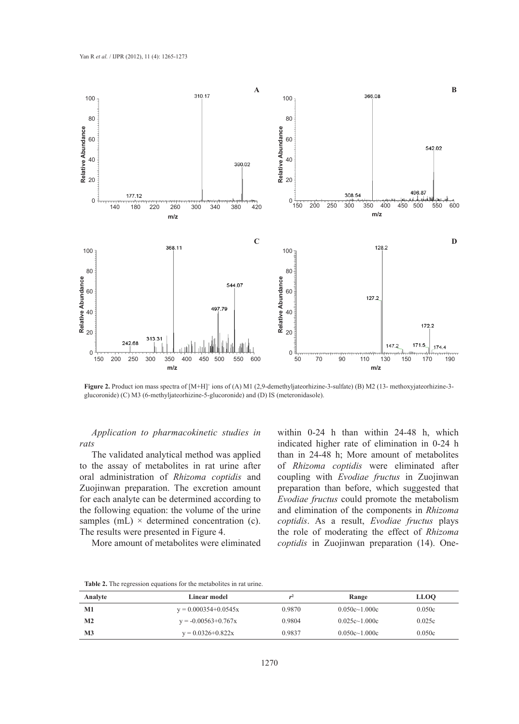

**Figure 2.** Product ion mass spectra of [M+H]<sup>+</sup> ions of (A) M1 (2,9-demethyljateorhizine-3-sulfate) (B) M2 (13- methoxyjateorhizine-3glucoronide) (C) M3 (6-methyljateorhizine-5-glucoronide) and (D) IS (meteronidasole).

*Application to pharmacokinetic studies in rats*

The validated analytical method was applied to the assay of metabolites in rat urine after oral administration of *Rhizoma coptidis* and Zuojinwan preparation. The excretion amount for each analyte can be determined according to the following equation: the volume of the urine samples (mL)  $\times$  determined concentration (c). The results were presented in Figure 4.

More amount of metabolites were eliminated

within 0-24 h than within 24-48 h, which indicated higher rate of elimination in 0-24 h than in 24-48 h; More amount of metabolites of *Rhizoma coptidis* were eliminated after coupling with *Evodiae fructus* in Zuojinwan preparation than before, which suggested that *Evodiae fructus* could promote the metabolism and elimination of the components in *Rhizoma coptidis*. As a result, *Evodiae fructus* plays the role of moderating the effect of *Rhizoma coptidis* in Zuojinwan preparation (14). One-

|  |  |  | <b>Table 2.</b> The regression equations for the metabolites in rat urine. |  |  |
|--|--|--|----------------------------------------------------------------------------|--|--|
|  |  |  |                                                                            |  |  |

| Analyte        | Linear model            | za4    | Range             | <b>LLOO</b> |
|----------------|-------------------------|--------|-------------------|-------------|
| M1             | $y = 0.000354+0.0545x$  | 0.9870 | $0.050c - 1.000c$ | 0.050c      |
| $\mathbf{M2}$  | $y = -0.00563 + 0.767x$ | 0.9804 | $0.025c - 1.000c$ | 0.025c      |
| M <sub>3</sub> | $y = 0.0326 + 0.822x$   | 0.9837 | $0.050c - 1.000c$ | 0.050c      |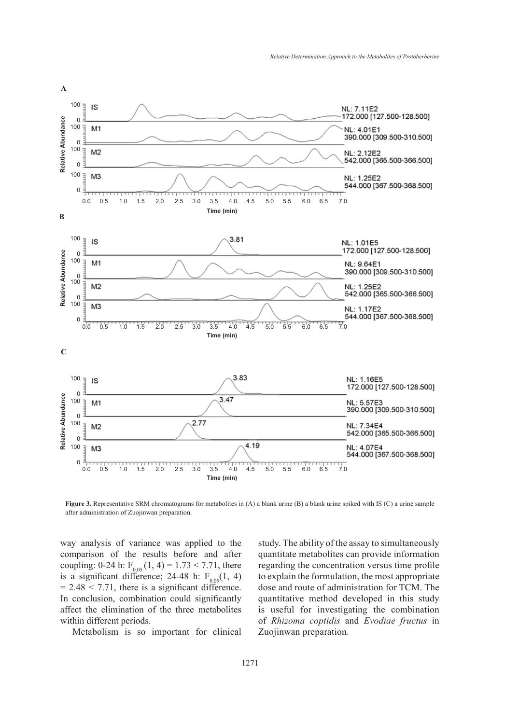

**Figure 3.** Representative SRM chromatograms for metabolites in (A) a blank urine (B) a blank urine spiked with IS (C) a urine sample after administration of Zuojinwan preparation.

way analysis of variance was applied to the comparison of the results before and after coupling: 0-24 h:  $F_{0.05}$  (1, 4) = 1.73 < 7.71, there is a significant difference; 24-48 h:  $F_{0.05}(1, 4)$  $= 2.48 < 7.71$ , there is a significant difference. In conclusion, combination could significantly affect the elimination of the three metabolites within different periods.

Metabolism is so important for clinical

study. The ability of the assay to simultaneously quantitate metabolites can provide information regarding the concentration versus time profile to explain the formulation, the most appropriate dose and route of administration for TCM. The quantitative method developed in this study is useful for investigating the combination of *Rhizoma coptidis* and *Evodiae fructus* in Zuojinwan preparation.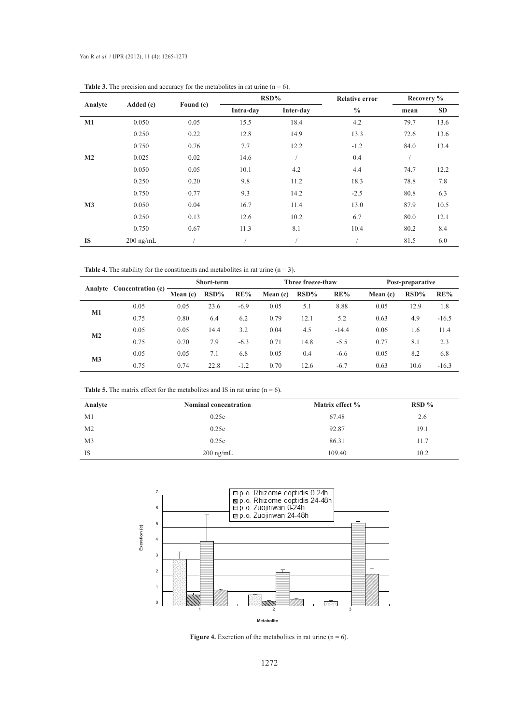|                |             |           |           | $RSD\%$   | <b>Relative error</b> | Recovery % |      |  |
|----------------|-------------|-----------|-----------|-----------|-----------------------|------------|------|--|
| Analyte        | Added (c)   | Found (c) | Intra-day | Inter-day | $\frac{0}{0}$         | mean       | SD   |  |
| M1             | 0.050       | 0.05      | 15.5      | 18.4      | 4.2                   | 79.7       | 13.6 |  |
|                | 0.250       | 0.22      | 12.8      | 14.9      | 13.3                  | 72.6       | 13.6 |  |
|                | 0.750       | 0.76      | 7.7       | 12.2      | $-1.2$                | 84.0       | 13.4 |  |
| M <sub>2</sub> | 0.025       | 0.02      | 14.6      |           | 0.4                   |            |      |  |
|                | 0.050       | 0.05      | 10.1      | 4.2       | 4.4                   | 74.7       | 12.2 |  |
|                | 0.250       | 0.20      | 9.8       | 11.2      | 18.3                  | 78.8       | 7.8  |  |
|                | 0.750       | 0.77      | 9.3       | 14.2      | $-2.5$                | 80.8       | 6.3  |  |
| M <sub>3</sub> | 0.050       | 0.04      | 16.7      | 11.4      | 13.0                  | 87.9       | 10.5 |  |
|                | 0.250       | 0.13      | 12.6      | 10.2      | 6.7                   | 80.0       | 12.1 |  |
|                | 0.750       | 0.67      | 11.3      | 8.1       | 10.4                  | 80.2       | 8.4  |  |
| <b>IS</b>      | $200$ ng/mL |           |           |           |                       | 81.5       | 6.0  |  |

**Table 3.** The precision and accuracy for the metabolites in rat urine  $(n = 6)$ .

**Table 4.** The stability for the constituents and metabolites in rat urine  $(n = 3)$ .

|                | Analyte Concentration (c) | Short-term |         |        | Three freeze-thaw |         |         | Post-preparative |         |         |
|----------------|---------------------------|------------|---------|--------|-------------------|---------|---------|------------------|---------|---------|
|                |                           | Mean $(c)$ | $RSD\%$ | RE%    | Mean (c)          | $RSD\%$ | RE%     | Mean (c)         | $RSD\%$ | RE%     |
|                | 0.05                      | 0.05       | 23.6    | $-6.9$ | 0.05              | 5.1     | 8.88    | 0.05             | 12.9    | 1.8     |
| <b>M1</b>      | 0.75                      | 0.80       | 6.4     | 6.2    | 0.79              | 12.1    | 5.2     | 0.63             | 4.9     | $-16.5$ |
| $\mathbf{M2}$  | 0.05                      | 0.05       | 14.4    | 3.2    | 0.04              | 4.5     | $-14.4$ | 0.06             | 1.6     | 11.4    |
|                | 0.75                      | 0.70       | 7.9     | $-6.3$ | 0.71              | 14.8    | $-5.5$  | 0.77             | 8.1     | 2.3     |
| M <sub>3</sub> | 0.05                      | 0.05       | 7.1     | 6.8    | 0.05              | 0.4     | $-6.6$  | 0.05             | 8.2     | 6.8     |
|                | 0.75                      | 0.74       | 22.8    | $-1.2$ | 0.70              | 12.6    | $-6.7$  | 0.63             | 10.6    | $-16.3$ |

**Table 5.** The matrix effect for the metabolites and IS in rat urine  $(n = 6)$ .

| Analyte        | <b>Nominal concentration</b> | Matrix effect % | $RSD\%$ |
|----------------|------------------------------|-----------------|---------|
| M <sub>1</sub> | 0.25c                        | 67.48           | 2.6     |
| M <sub>2</sub> | 0.25c                        | 92.87           | 19.1    |
| M <sub>3</sub> | 0.25c                        | 86.31           | 11.7    |
| IS             | $200 \text{ ng/mL}$          | 109.40          | 10.2    |



**Figure 4.** Excretion of the metabolites in rat urine  $(n = 6)$ .